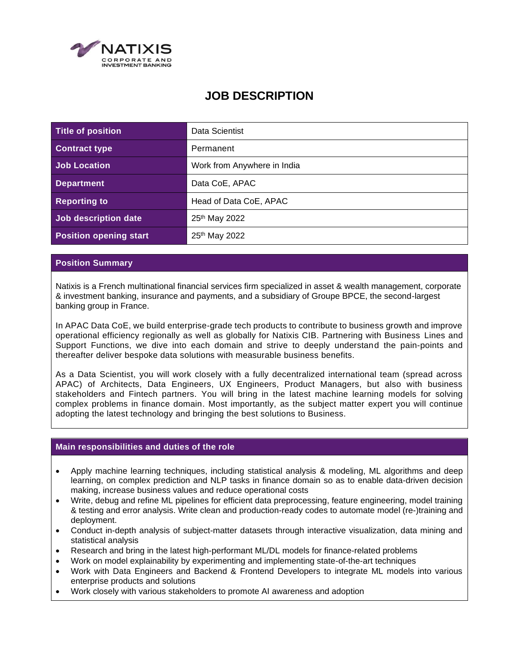

# **JOB DESCRIPTION**

| Title of position             | Data Scientist              |
|-------------------------------|-----------------------------|
| <b>Contract type</b>          | Permanent                   |
| Job Location                  | Work from Anywhere in India |
| <b>Department</b>             | Data CoE, APAC              |
| <b>Reporting to</b>           | Head of Data CoE, APAC      |
| Job description date          | 25 <sup>th</sup> May 2022   |
| <b>Position opening start</b> | 25 <sup>th</sup> May 2022   |

## **Position Summary**

Natixis is a French multinational financial services firm specialized in asset & wealth management, corporate & investment banking, insurance and payments, and a subsidiary of Groupe BPCE, the second-largest banking group in France.

In APAC Data CoE, we build enterprise-grade tech products to contribute to business growth and improve operational efficiency regionally as well as globally for Natixis CIB. Partnering with Business Lines and Support Functions, we dive into each domain and strive to deeply understand the pain-points and thereafter deliver bespoke data solutions with measurable business benefits.

As a Data Scientist, you will work closely with a fully decentralized international team (spread across APAC) of Architects, Data Engineers, UX Engineers, Product Managers, but also with business stakeholders and Fintech partners. You will bring in the latest machine learning models for solving complex problems in finance domain. Most importantly, as the subject matter expert you will continue adopting the latest technology and bringing the best solutions to Business.

# **Main responsibilities and duties of the role**

- Apply machine learning techniques, including statistical analysis & modeling, ML algorithms and deep learning, on complex prediction and NLP tasks in finance domain so as to enable data-driven decision making, increase business values and reduce operational costs
- Write, debug and refine ML pipelines for efficient data preprocessing, feature engineering, model training & testing and error analysis. Write clean and production-ready codes to automate model (re-)training and deployment.
- Conduct in-depth analysis of subject-matter datasets through interactive visualization, data mining and statistical analysis
- Research and bring in the latest high-performant ML/DL models for finance-related problems
- Work on model explainability by experimenting and implementing state-of-the-art techniques
- Work with Data Engineers and Backend & Frontend Developers to integrate ML models into various enterprise products and solutions
- Work closely with various stakeholders to promote AI awareness and adoption